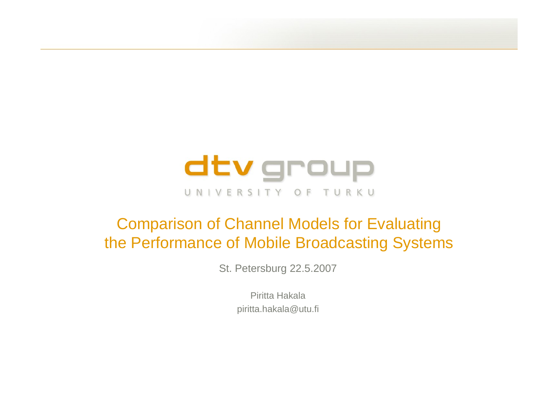

# Comparison of Channel Models for Evaluating the Performance of Mobile Broadcasting Systems

St. Petersburg 22.5.2007

Piritta Hakala piritta.hakala@utu.fi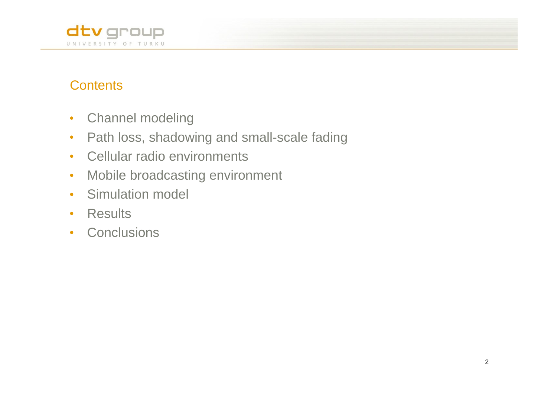

## **Contents** and the contents of the content of the content of the content of the contents of the contents of the contents of the contents of the contents of the contents of the contents of the contents of the contents of th

- Channel modeling  $\bullet$
- Path loss, shadowing and small-scale fading  $\bullet$
- Cellular radio environments  $\bullet$
- Mobile broadcasting environment  $\bullet$
- Simulation model  $\bullet$
- Results
- **Conclusions**  $\bullet$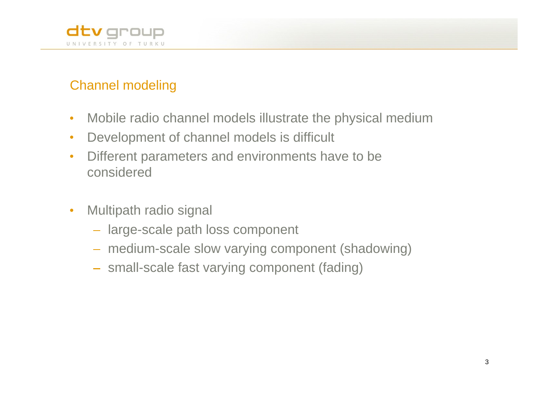

## Channel modeling

- Mobile radio channel models illustrate the physical medium  $\bullet$
- Development of channel models is difficult  $\bullet$
- Different parameters and environments have to be  $\bullet$ considered
- Multipath radio signal  $\bullet$ 
	- large-scale path loss component
	- medium-scale slow varying component (shadowing)
	- small-scale fast varying component (fading)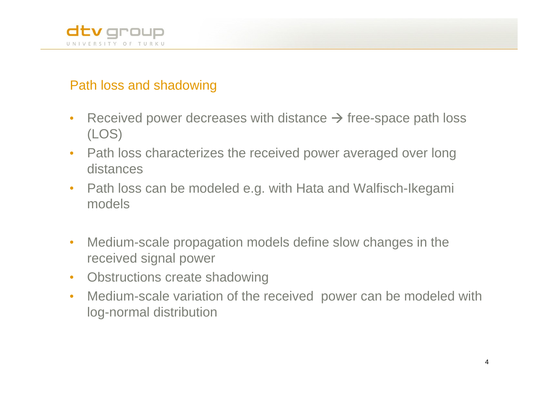

### Path loss and shadowing

- Received power decreases with distance  $\rightarrow$  free-space path loss  $\bullet$ (LOS)
- Path loss characterizes the received power averaged over long  $\bullet$ distances
- Path loss can be modeled e.g. with Hata and Walfisch-Ikegami  $\bullet$ models
- Medium-scale propagation models define slow changes in the  $\bullet$ received signal power
- Obstructions create shadowing  $\bullet$
- Medium-scale variation of the received power can be modeled with  $\bullet$ log-normal distribution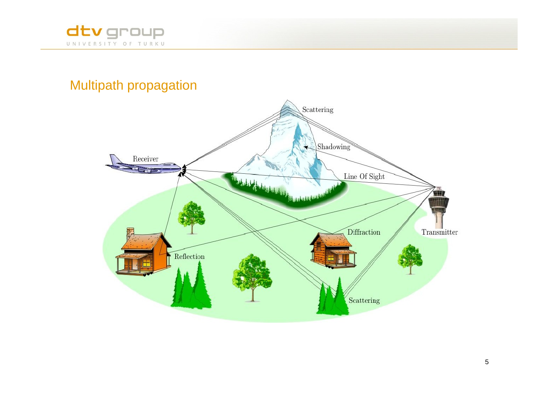

## Multipath propagation

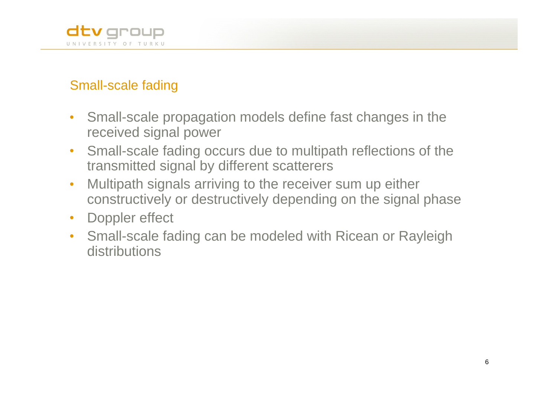

## Small-scale fading

- Small-scale propagation models define fast changes in the  $\bullet$ received signal power
- Small-scale fading occurs due to multipath reflections of the  $\bullet$ transmitted signal by different scatterers
- Multipath signals arriving to the receiver sum up either  $\bullet$ constructively or destructively depending on the signal phase
- Doppler effect  $\bullet$
- Small-scale fading can be modeled with Ricean or Rayleigh  $\bullet$ distributions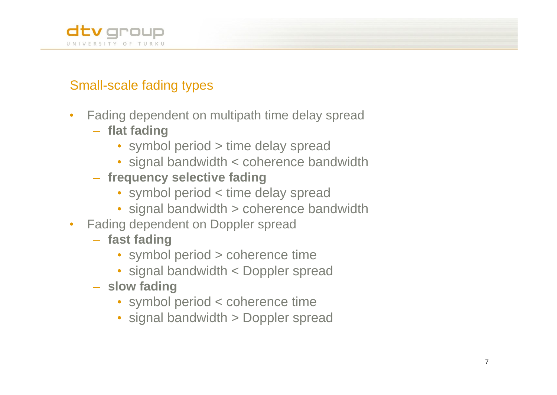

## Small-scale fading types

- Fading dependent on multipath time delay spread  $\bullet$ 
	- **flat fading**
		- symbol period > time delay spread
		- signal bandwidth < coherence bandwidth
	- **frequency selective fading**
		- symbol period < time delay spread
		- signal bandwidth > coherence bandwidth
- Fading dependent on Doppler spread  $\bullet$ 
	- **fast fading**
		- symbol period > coherence time
		- signal bandwidth < Doppler spread
	- **slow fading**
		- symbol period < coherence time
		- signal bandwidth > Doppler spread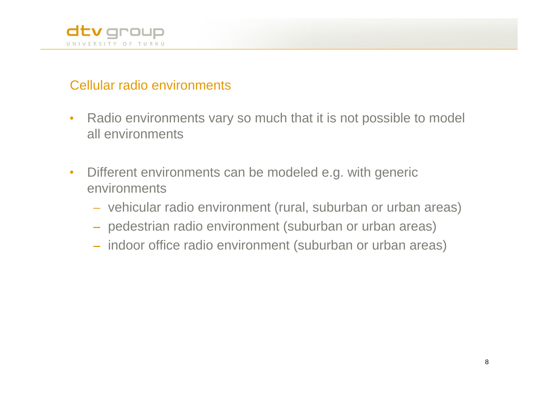

### Cellular radio environments

- Radio environments vary so much that it is not possible to model  $\bullet$ all environments
- Different environments can be modeled e.g. with generic  $\bullet$ environments
	- vehicular radio environment (rural, suburban or urban areas)
	- pedestrian radio environment (suburban or urban areas)
	- indoor office radio environment (suburban or urban areas)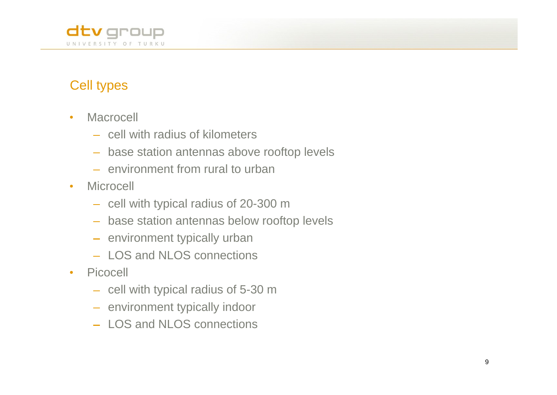

## Cell types

- Macrocell  $\bullet$ 
	- cell with radius of kilometers
	- base station antennas above rooftop levels
	- environment from rural to urban
- **Microcell**  $\bullet$ 
	- cell with typical radius of 20-300 m
	- base station antennas below rooftop levels
	- environment typically urban
	- LOS and NLOS connections
- Picocell  $\bullet$ 
	- cell with typical radius of 5-30 m
	- environment typically indoor
	- LOS and NLOS connections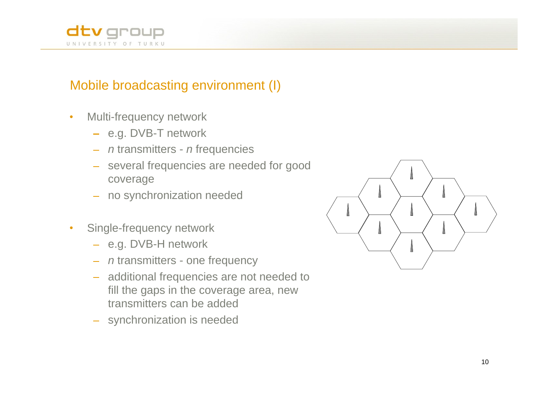

### Mobile broadcasting environment (I)

- Multi-frequency network  $\bullet$ 
	- e.g. DVB-T network
	- $-$  n transmitters n frequencies
	- several frequencies are needed for good coverage  $\qquad \qquad$   $\qquad \qquad$   $\qquad$
	- no synchronization needed
- Single-frequency network  $\bullet$ 
	- e.g. DVB-H network
	- *n* transmitters one frequency
	- additional frequencies are not needed to fill the gaps in the coverage area, new transmitters can be added
	- synchronization is needed

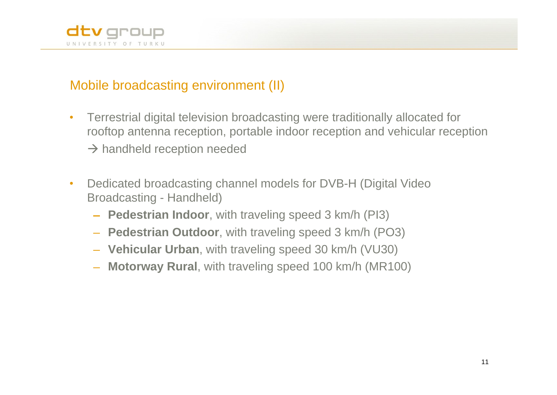

### Mobile broadcasting environment (II)

- Terrestrial digital television broadcasting were traditionally allocated for  $\bullet$ rooftop antenna reception, portable indoor reception and vehicular reception  $\rightarrow$  handheld reception needed
- Dedicated broadcasting channel models for DVB-H (Digital Video  $\bullet$ Broadcasting - Handheld)
	- **Pedestrian Indoor**, with traveling speed 3 km/h (PI3)
	- **Pedestrian Outdoor**, with traveling speed 3 km/h (PO3)
	- **Vehicular Urban**, with traveling speed 30 km/h (VU30)
	- **Motorway Rural**, with traveling speed 100 km/h (MR100)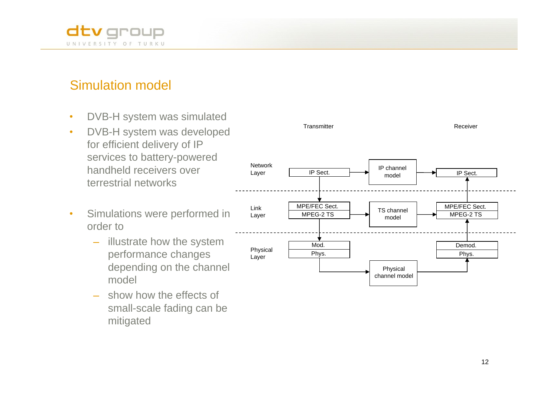

### Simulation model

- DVB-H system was simulated  $\bullet$
- $\bullet$ for efficient delivery of IP services to battery-powered<br>Network
- $\bullet$ 
	-
	- show how the effects of small-scale fading can be mitigated

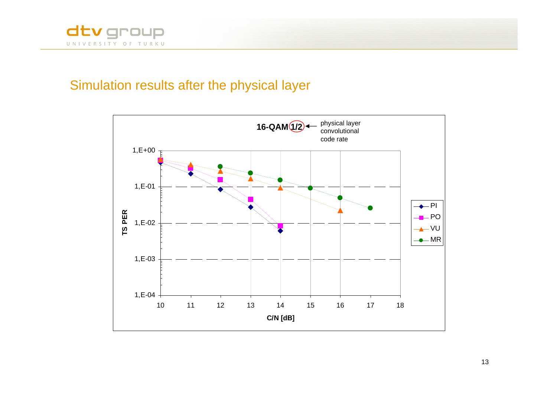

### Simulation results after the physical layer

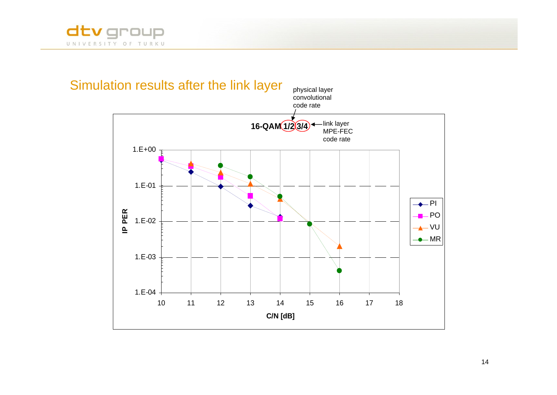



14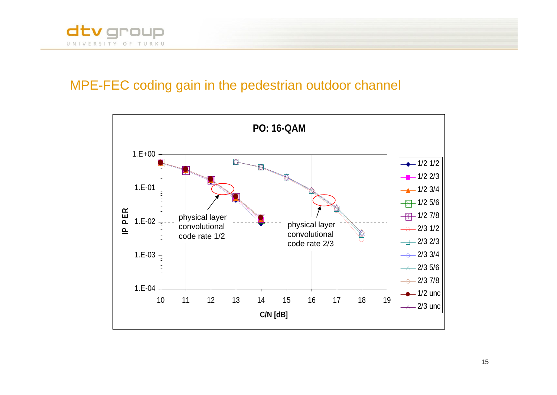

### MPE-FEC coding gain in the pedestrian outdoor channel



15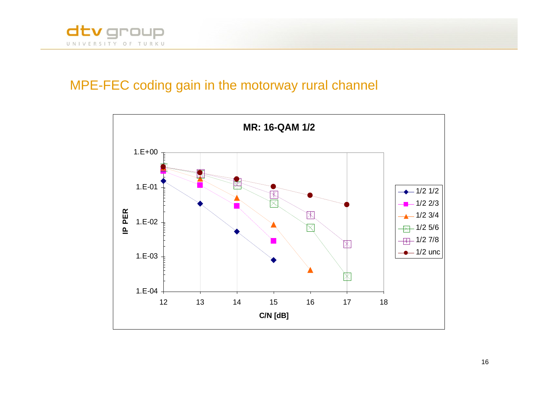

### MPE-FEC coding gain in the motorway rural channel